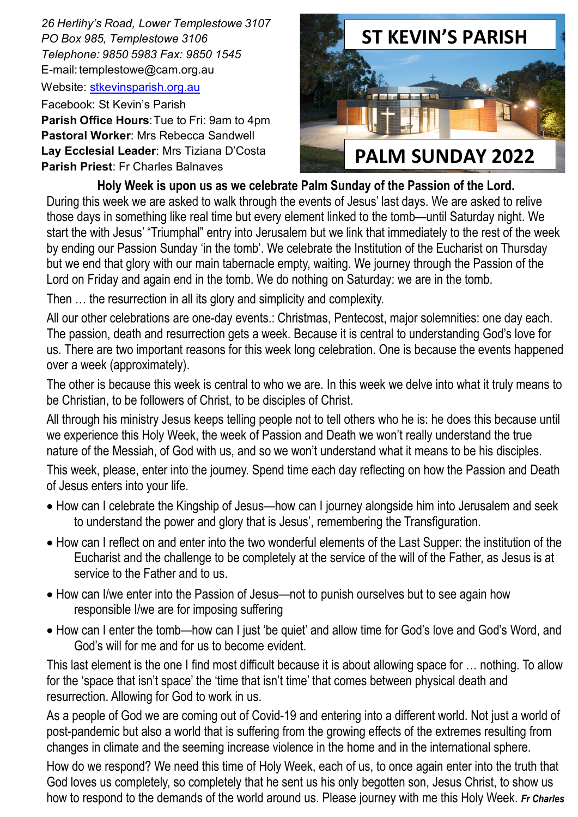*26 Herlihy's Road, Lower Templestowe 3107 PO Box 985, Templestowe 3106 Telephone: 9850 5983 Fax: 9850 1545* E-mail[: templestowe@cam.org.au](mailto:templestowe@cam.org.au) 

Website: [stkevinsparish.org.au](http://pol.org.au/templestowe/Home.aspx)

Facebook: St Kevin's Parish **Parish Office Hours**: Tue to Fri: 9am to 4pm **Pastoral Worker**: Mrs Rebecca Sandwell **Lay Ecclesial Leader**: Mrs Tiziana D'Costa **Parish Priest**: Fr Charles Balnaves



**Holy Week is upon us as we celebrate Palm Sunday of the Passion of the Lord.** During this week we are asked to walk through the events of Jesus' last days. We are asked to relive those days in something like real time but every element linked to the tomb—until Saturday night. We start the with Jesus' "Triumphal" entry into Jerusalem but we link that immediately to the rest of the week by ending our Passion Sunday 'in the tomb'. We celebrate the Institution of the Eucharist on Thursday but we end that glory with our main tabernacle empty, waiting. We journey through the Passion of the Lord on Friday and again end in the tomb. We do nothing on Saturday: we are in the tomb.

Then … the resurrection in all its glory and simplicity and complexity.

All our other celebrations are one-day events.: Christmas, Pentecost, major solemnities: one day each. The passion, death and resurrection gets a week. Because it is central to understanding God's love for us. There are two important reasons for this week long celebration. One is because the events happened over a week (approximately).

The other is because this week is central to who we are. In this week we delve into what it truly means to be Christian, to be followers of Christ, to be disciples of Christ.

All through his ministry Jesus keeps telling people not to tell others who he is: he does this because until we experience this Holy Week, the week of Passion and Death we won't really understand the true nature of the Messiah, of God with us, and so we won't understand what it means to be his disciples.

This week, please, enter into the journey. Spend time each day reflecting on how the Passion and Death of Jesus enters into your life.

- How can I celebrate the Kingship of Jesus—how can I journey alongside him into Jerusalem and seek to understand the power and glory that is Jesus', remembering the Transfiguration.
- How can I reflect on and enter into the two wonderful elements of the Last Supper: the institution of the Eucharist and the challenge to be completely at the service of the will of the Father, as Jesus is at service to the Father and to us.
- How can I/we enter into the Passion of Jesus—not to punish ourselves but to see again how responsible I/we are for imposing suffering
- How can I enter the tomb—how can I just 'be quiet' and allow time for God's love and God's Word, and God's will for me and for us to become evident.

This last element is the one I find most difficult because it is about allowing space for … nothing. To allow for the 'space that isn't space' the 'time that isn't time' that comes between physical death and resurrection. Allowing for God to work in us.

As a people of God we are coming out of Covid-19 and entering into a different world. Not just a world of post-pandemic but also a world that is suffering from the growing effects of the extremes resulting from changes in climate and the seeming increase violence in the home and in the international sphere.

How do we respond? We need this time of Holy Week, each of us, to once again enter into the truth that God loves us completely, so completely that he sent us his only begotten son, Jesus Christ, to show us how to respond to the demands of the world around us. Please journey with me this Holy Week. *Fr Charles*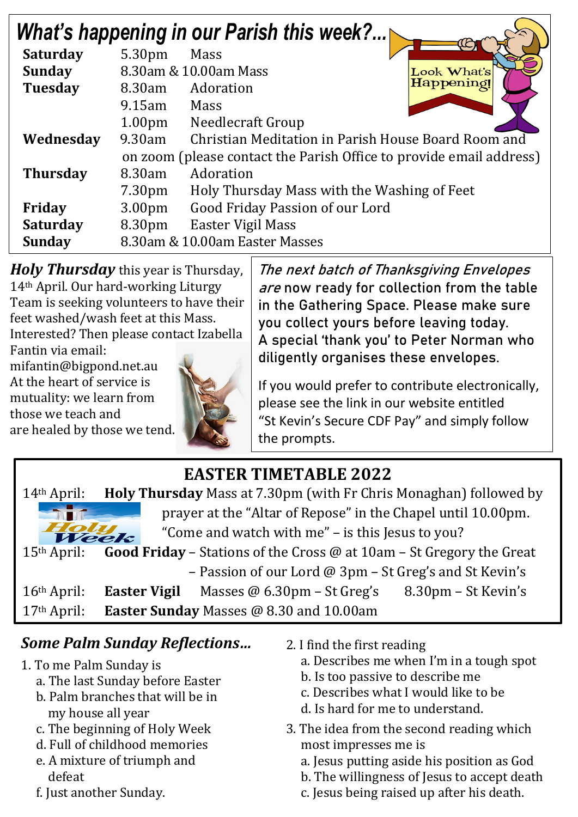| <b>What's happening in our Parish this week?</b> |                                                                     |                                                     |  |  |  |
|--------------------------------------------------|---------------------------------------------------------------------|-----------------------------------------------------|--|--|--|
| <b>Saturday</b>                                  | 5.30pm                                                              | Mass                                                |  |  |  |
| <b>Sunday</b>                                    |                                                                     | 8.30am & 10.00am Mass<br>Look What's                |  |  |  |
| <b>Tuesday</b>                                   | 8.30am                                                              | Happening<br>Adoration                              |  |  |  |
|                                                  | $9.15$ am                                                           | Mass                                                |  |  |  |
|                                                  | 1.00 <sub>pm</sub>                                                  | Needlecraft Group                                   |  |  |  |
| Wednesday                                        | 9.30am                                                              | Christian Meditation in Parish House Board Room and |  |  |  |
|                                                  | on zoom (please contact the Parish Office to provide email address) |                                                     |  |  |  |
| <b>Thursday</b>                                  | 8.30am                                                              | Adoration                                           |  |  |  |
|                                                  | 7.30 <sub>pm</sub>                                                  | Holy Thursday Mass with the Washing of Feet         |  |  |  |
| Friday                                           | 3.00 <sub>pm</sub>                                                  | Good Friday Passion of our Lord                     |  |  |  |
| <b>Saturday</b>                                  | 8.30pm                                                              | Easter Vigil Mass                                   |  |  |  |
| <b>Sunday</b>                                    | 8.30am & 10.00am Easter Masses                                      |                                                     |  |  |  |

*Holy Thursday* this year is Thursday, 14th April. Our hard-working Liturgy Team is seeking volunteers to have their feet washed/wash feet at this Mass. Interested? Then please con[tact Izabella](http://www.google.com.au/url?sa=i&rct=j&q=&esrc=s&source=images&cd=&cad=rja&uact=8&ved=2ahUKEwi4tsSY3v7ZAhULxLwKHav6DL8QjRx6BAgAEAU&url=http://www.turnbacktogod.com/jesus-washing-feet-of-disciples-pictures/&psig=AOvVaw1qzJygtjkVirJFQzDJIxBZ&ust=1521767052809917) 

Fantin via email: mifantin@bigpond.net.au At the heart of service is mutuality: we learn from those we teach and are healed by those we tend.

The next batch of Thanksgiving Envelopes are now ready for collection from the table in the Gathering Space. Please make sure you collect yours before leaving today. A special 'thank you' to Peter Norman who diligently organises these envelopes.

If you would prefer to contribute electronically, please see the link in our website entitled "St Kevin's Secure CDF Pay" and simply follow the prompts.

## **EASTER TIMETABLE 2022**

| $14th$ April:     |                                                                                    | <b>Holy Thursday</b> Mass at 7.30pm (with Fr Chris Monaghan) followed by |                     |
|-------------------|------------------------------------------------------------------------------------|--------------------------------------------------------------------------|---------------------|
| <b>CONTRACTOR</b> |                                                                                    | prayer at the "Altar of Repose" in the Chapel until 10.00pm.             |                     |
| Holy<br>Week      |                                                                                    | "Come and watch with me" – is this Jesus to you?                         |                     |
| $15th$ April:     | <b>Good Friday</b> – Stations of the Cross $\omega$ at 10am – St Gregory the Great |                                                                          |                     |
|                   |                                                                                    | - Passion of our Lord @ 3pm - St Greg's and St Kevin's                   |                     |
| $16th$ April:     |                                                                                    | <b>Easter Vigil</b> Masses $@$ 6.30pm – St Greg's                        | 8.30pm – St Kevin's |
| $17th$ April:     |                                                                                    | Easter Sunday Masses @ 8.30 and 10.00am                                  |                     |

### *Some Palm Sunday Reflections…*

- 1. To me Palm Sunday is
	- a. The last Sunday before Easter
	- b. Palm branches that will be in my house all year
	- c. The beginning of Holy Week
	- d. Full of childhood memories
	- e. A mixture of triumph and defeat
	- f. Just another Sunday.
- 2. I find the first reading
	- a. Describes me when I'm in a tough spot
	- b. Is too passive to describe me
	- c. Describes what I would like to be
	- d. Is hard for me to understand.
- 3. The idea from the second reading which most impresses me is
	- a. Jesus putting aside his position as God
	- b. The willingness of Jesus to accept death
	- c. Jesus being raised up after his death.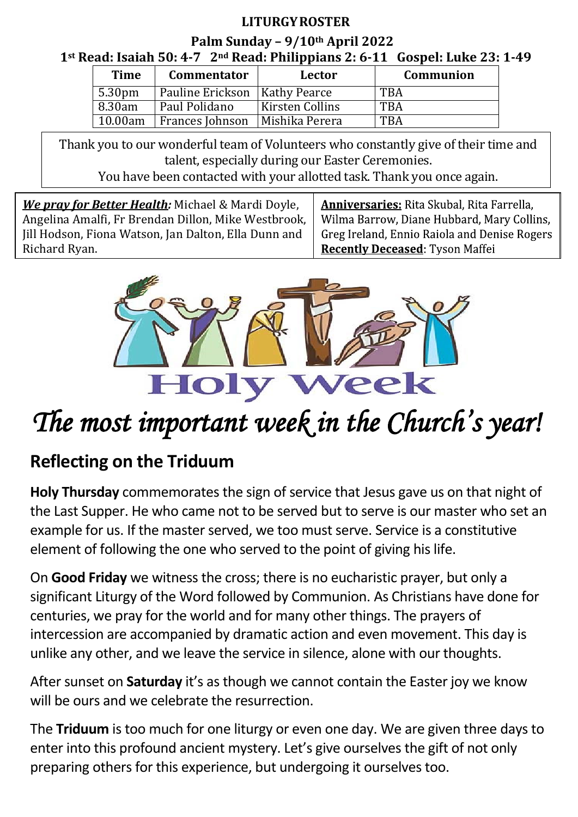#### **LITURGY ROSTER**

**Palm Sunday – 9/10th April 2022 1st Read: Isaiah 50: 4-7 2nd Read: Philippians 2: 6-11 Gospel: Luke 23: 1-49**

| <b>Time</b>        | <b>Commentator</b>              | Lector          | Communion  |
|--------------------|---------------------------------|-----------------|------------|
| 5.30 <sub>pm</sub> | Pauline Erickson   Kathy Pearce |                 | <b>TBA</b> |
| 8.30am             | Paul Polidano                   | Kirsten Collins | <b>TBA</b> |
| 10.00am            | Frances Johnson                 | Mishika Perera  | <b>TBA</b> |

Thank you to our wonderful team of Volunteers who constantly give of their time and talent, especially during our Easter Ceremonies.

You have been contacted with your allotted task. Thank you once again.

 *We pray for Better Health:* Michael & Mardi Doyle, Angelina Amalfi, Fr Brendan Dillon, Mike Westbrook, Jill Hodson, Fiona Watson, Jan Dalton, Ella Dunn and Richard Ryan.

**Anniversaries:** Rita Skubal, Rita Farrella, Wilma Barrow, Diane Hubbard, Mary Collins, Greg Ireland, Ennio Raiola and Denise Rogers **Recently Deceased: Tyson Maffei** 



# *The most important week in the Church's year!*

## **Reflecting on the Triduum**

**Holy Thursday** commemorates the sign of service that Jesus gave us on that night of the Last Supper. He who came not to be served but to serve is our master who set an example for us. If the master served, we too must serve. Service is a constitutive element of following the one who served to the point of giving his life.

On **Good Friday** we witness the cross; there is no eucharistic prayer, but only a significant Liturgy of the Word followed by Communion. As Christians have done for centuries, we pray for the world and for many other things. The prayers of intercession are accompanied by dramatic action and even movement. This day is unlike any other, and we leave the service in silence, alone with our thoughts.

After sunset on **Saturday** it's as though we cannot contain the Easter joy we know will be ours and we celebrate the resurrection.

The **Triduum** is too much for one liturgy or even one day. We are given three days to enter into this profound ancient mystery. Let's give ourselves the gift of not only preparing others for this experience, but undergoing it ourselves too.